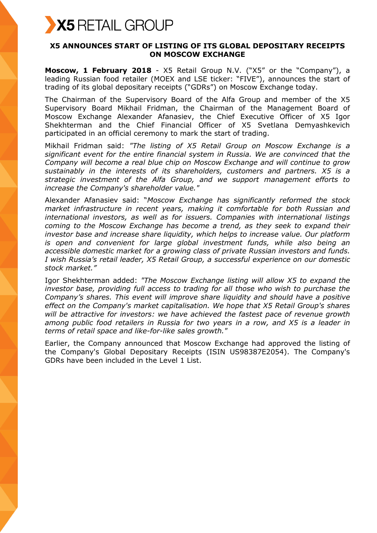

## **X5 ANNOUNCES START OF LISTING OF ITS GLOBAL DEPOSITARY RECEIPTS ON MOSCOW EXCHANGE**

**Moscow, 1 February 2018** - X5 Retail Group N.V. ("X5" or the "Company"), a leading Russian food retailer (MOEX and LSE ticker: "FIVE"), announces the start of trading of its global depositary receipts ("GDRs") on Moscow Exchange today.

The Chairman of the Supervisory Board of the Alfa Group and member of the X5 Supervisory Board Mikhail Fridman, the Chairman of the Management Board of Moscow Exchange Alexander Afanasiev, the Chief Executive Officer of X5 Igor Shekhterman and the Chief Financial Officer of X5 Svetlana Demyashkevich participated in an official ceremony to mark the start of trading.

Mikhail Fridman said: *"The listing of X5 Retail Group on Moscow Exchange is a significant event for the entire financial system in Russia. We are convinced that the Company will become a real blue chip on Moscow Exchange and will continue to grow sustainably in the interests of its shareholders, customers and partners. X5 is a strategic investment of the Alfa Group, and we support management efforts to increase the Company's shareholder value."*

Alexander Afanasiev said: "*Moscow Exchange has significantly reformed the stock market infrastructure in recent years, making it comfortable for both Russian and international investors, as well as for issuers. Companies with international listings coming to the Moscow Exchange has become a trend, as they seek to expand their investor base and increase share liquidity, which helps to increase value. Our platform is open and convenient for large global investment funds, while also being an accessible domestic market for a growing class of private Russian investors and funds. I wish Russia's retail leader, X5 Retail Group, a successful experience on our domestic stock market."*

Igor Shekhterman added: *"The Moscow Exchange listing will allow X5 to expand the investor base, providing full access to trading for all those who wish to purchase the Company's shares. This event will improve share liquidity and should have a positive effect on the Company's market capitalisation. We hope that X5 Retail Group's shares will be attractive for investors: we have achieved the fastest pace of revenue growth among public food retailers in Russia for two years in a row, and X5 is a leader in terms of retail space and like-for-like sales growth."*

Earlier, the Company announced that Moscow Exchange had approved the listing of the Company's Global Depositary Receipts (ISIN US98387E2054). The Company's GDRs have been included in the Level 1 List.